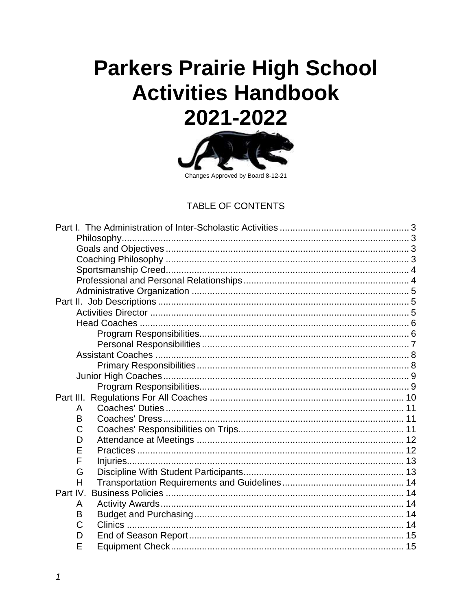# **Parkers Prairie High School Activities Handbook** 2021-2022



## **TABLE OF CONTENTS**

| Part III. |  |  |  |  |  |
|-----------|--|--|--|--|--|
| A         |  |  |  |  |  |
| B         |  |  |  |  |  |
| C         |  |  |  |  |  |
| D         |  |  |  |  |  |
| E         |  |  |  |  |  |
| F         |  |  |  |  |  |
| G         |  |  |  |  |  |
| H         |  |  |  |  |  |
| Part IV.  |  |  |  |  |  |
| A         |  |  |  |  |  |
| B         |  |  |  |  |  |
| C         |  |  |  |  |  |
| D         |  |  |  |  |  |
| E         |  |  |  |  |  |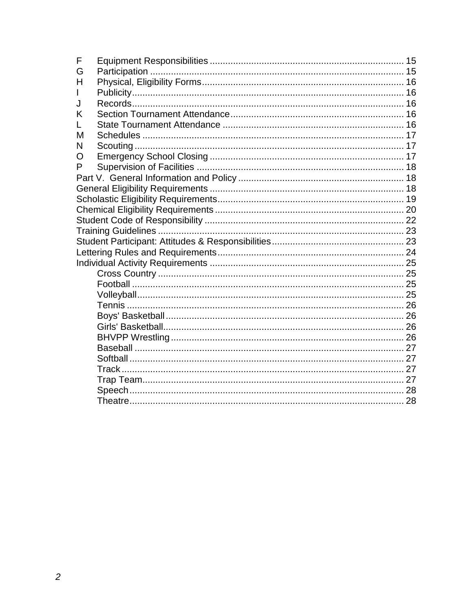| F |  |
|---|--|
| G |  |
| н |  |
|   |  |
| J |  |
| Κ |  |
| L |  |
| М |  |
| N |  |
| O |  |
| P |  |
|   |  |
|   |  |
|   |  |
|   |  |
|   |  |
|   |  |
|   |  |
|   |  |
|   |  |
|   |  |
|   |  |
|   |  |
|   |  |
|   |  |
|   |  |
|   |  |
|   |  |
|   |  |
|   |  |
|   |  |
|   |  |
|   |  |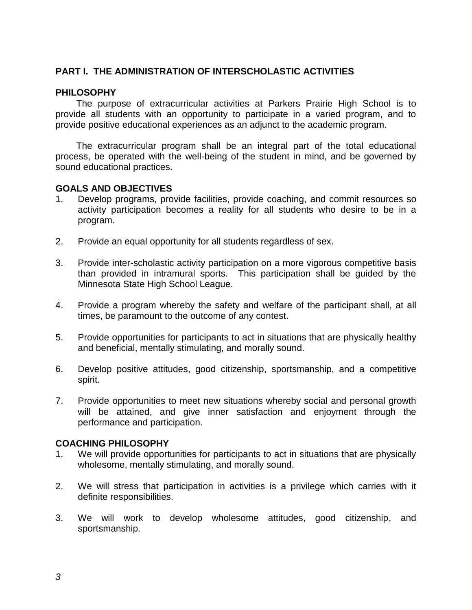## **PART I. THE ADMINISTRATION OF INTERSCHOLASTIC ACTIVITIES**

#### **PHILOSOPHY**

The purpose of extracurricular activities at Parkers Prairie High School is to provide all students with an opportunity to participate in a varied program, and to provide positive educational experiences as an adjunct to the academic program.

The extracurricular program shall be an integral part of the total educational process, be operated with the well-being of the student in mind, and be governed by sound educational practices.

#### **GOALS AND OBJECTIVES**

- 1. Develop programs, provide facilities, provide coaching, and commit resources so activity participation becomes a reality for all students who desire to be in a program.
- 2. Provide an equal opportunity for all students regardless of sex.
- 3. Provide inter-scholastic activity participation on a more vigorous competitive basis than provided in intramural sports. This participation shall be guided by the Minnesota State High School League.
- 4. Provide a program whereby the safety and welfare of the participant shall, at all times, be paramount to the outcome of any contest.
- 5. Provide opportunities for participants to act in situations that are physically healthy and beneficial, mentally stimulating, and morally sound.
- 6. Develop positive attitudes, good citizenship, sportsmanship, and a competitive spirit.
- 7. Provide opportunities to meet new situations whereby social and personal growth will be attained, and give inner satisfaction and enjoyment through the performance and participation.

#### **COACHING PHILOSOPHY**

- 1. We will provide opportunities for participants to act in situations that are physically wholesome, mentally stimulating, and morally sound.
- 2. We will stress that participation in activities is a privilege which carries with it definite responsibilities.
- 3. We will work to develop wholesome attitudes, good citizenship, and sportsmanship.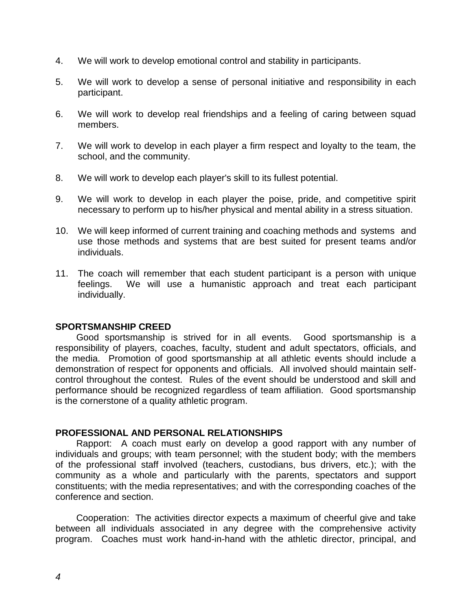- 4. We will work to develop emotional control and stability in participants.
- 5. We will work to develop a sense of personal initiative and responsibility in each participant.
- 6. We will work to develop real friendships and a feeling of caring between squad members.
- 7. We will work to develop in each player a firm respect and loyalty to the team, the school, and the community.
- 8. We will work to develop each player's skill to its fullest potential.
- 9. We will work to develop in each player the poise, pride, and competitive spirit necessary to perform up to his/her physical and mental ability in a stress situation.
- 10. We will keep informed of current training and coaching methods and systems and use those methods and systems that are best suited for present teams and/or individuals.
- 11. The coach will remember that each student participant is a person with unique feelings. We will use a humanistic approach and treat each participant individually.

#### **SPORTSMANSHIP CREED**

Good sportsmanship is strived for in all events. Good sportsmanship is a responsibility of players, coaches, faculty, student and adult spectators, officials, and the media. Promotion of good sportsmanship at all athletic events should include a demonstration of respect for opponents and officials. All involved should maintain selfcontrol throughout the contest. Rules of the event should be understood and skill and performance should be recognized regardless of team affiliation. Good sportsmanship is the cornerstone of a quality athletic program.

#### **PROFESSIONAL AND PERSONAL RELATIONSHIPS**

Rapport: A coach must early on develop a good rapport with any number of individuals and groups; with team personnel; with the student body; with the members of the professional staff involved (teachers, custodians, bus drivers, etc.); with the community as a whole and particularly with the parents, spectators and support constituents; with the media representatives; and with the corresponding coaches of the conference and section.

Cooperation: The activities director expects a maximum of cheerful give and take between all individuals associated in any degree with the comprehensive activity program. Coaches must work hand-in-hand with the athletic director, principal, and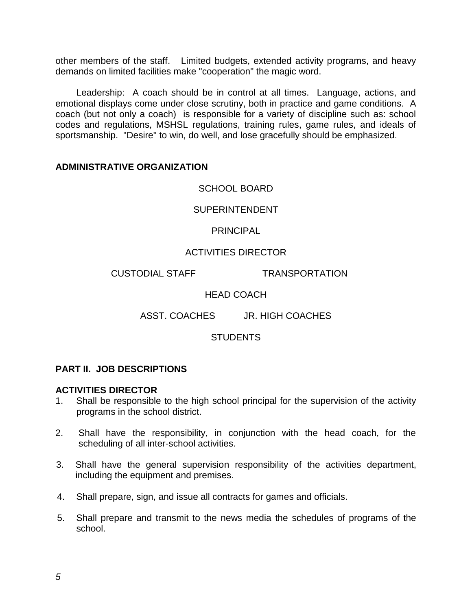other members of the staff. Limited budgets, extended activity programs, and heavy demands on limited facilities make "cooperation" the magic word.

Leadership: A coach should be in control at all times. Language, actions, and emotional displays come under close scrutiny, both in practice and game conditions. A coach (but not only a coach) is responsible for a variety of discipline such as: school codes and regulations, MSHSL regulations, training rules, game rules, and ideals of sportsmanship. "Desire" to win, do well, and lose gracefully should be emphasized.

#### **ADMINISTRATIVE ORGANIZATION**

SCHOOL BOARD

SUPERINTENDENT

**PRINCIPAL** 

## ACTIVITIES DIRECTOR

CUSTODIAL STAFF TRANSPORTATION

## HEAD COACH

ASST. COACHES JR. HIGH COACHES

#### **STUDENTS**

#### **PART II. JOB DESCRIPTIONS**

#### **ACTIVITIES DIRECTOR**

- 1. Shall be responsible to the high school principal for the supervision of the activity programs in the school district.
- 2. Shall have the responsibility, in conjunction with the head coach, for the scheduling of all inter-school activities.
- 3. Shall have the general supervision responsibility of the activities department, including the equipment and premises.
- 4. Shall prepare, sign, and issue all contracts for games and officials.
- 5. Shall prepare and transmit to the news media the schedules of programs of the school.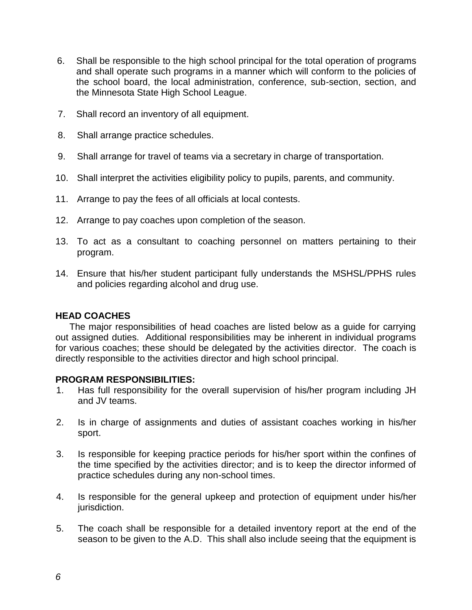- 6. Shall be responsible to the high school principal for the total operation of programs and shall operate such programs in a manner which will conform to the policies of the school board, the local administration, conference, sub-section, section, and the Minnesota State High School League.
- 7. Shall record an inventory of all equipment.
- 8. Shall arrange practice schedules.
- 9. Shall arrange for travel of teams via a secretary in charge of transportation.
- 10. Shall interpret the activities eligibility policy to pupils, parents, and community.
- 11. Arrange to pay the fees of all officials at local contests.
- 12. Arrange to pay coaches upon completion of the season.
- 13. To act as a consultant to coaching personnel on matters pertaining to their program.
- 14. Ensure that his/her student participant fully understands the MSHSL/PPHS rules and policies regarding alcohol and drug use.

#### **HEAD COACHES**

The major responsibilities of head coaches are listed below as a guide for carrying out assigned duties. Additional responsibilities may be inherent in individual programs for various coaches; these should be delegated by the activities director. The coach is directly responsible to the activities director and high school principal.

#### **PROGRAM RESPONSIBILITIES:**

- 1. Has full responsibility for the overall supervision of his/her program including JH and JV teams.
- 2. Is in charge of assignments and duties of assistant coaches working in his/her sport.
- 3. Is responsible for keeping practice periods for his/her sport within the confines of the time specified by the activities director; and is to keep the director informed of practice schedules during any non-school times.
- 4. Is responsible for the general upkeep and protection of equipment under his/her jurisdiction.
- 5. The coach shall be responsible for a detailed inventory report at the end of the season to be given to the A.D. This shall also include seeing that the equipment is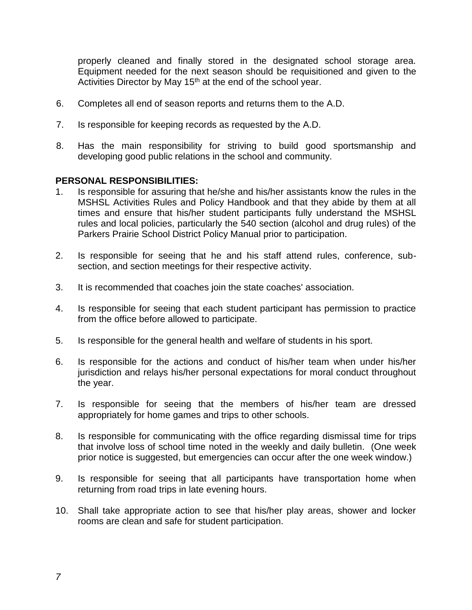properly cleaned and finally stored in the designated school storage area. Equipment needed for the next season should be requisitioned and given to the Activities Director by May 15<sup>th</sup> at the end of the school year.

- 6. Completes all end of season reports and returns them to the A.D.
- 7. Is responsible for keeping records as requested by the A.D.
- 8. Has the main responsibility for striving to build good sportsmanship and developing good public relations in the school and community.

#### **PERSONAL RESPONSIBILITIES:**

- 1. Is responsible for assuring that he/she and his/her assistants know the rules in the MSHSL Activities Rules and Policy Handbook and that they abide by them at all times and ensure that his/her student participants fully understand the MSHSL rules and local policies, particularly the 540 section (alcohol and drug rules) of the Parkers Prairie School District Policy Manual prior to participation.
- 2. Is responsible for seeing that he and his staff attend rules, conference, subsection, and section meetings for their respective activity.
- 3. It is recommended that coaches join the state coaches' association.
- 4. Is responsible for seeing that each student participant has permission to practice from the office before allowed to participate.
- 5. Is responsible for the general health and welfare of students in his sport.
- 6. Is responsible for the actions and conduct of his/her team when under his/her jurisdiction and relays his/her personal expectations for moral conduct throughout the year.
- 7. Is responsible for seeing that the members of his/her team are dressed appropriately for home games and trips to other schools.
- 8. Is responsible for communicating with the office regarding dismissal time for trips that involve loss of school time noted in the weekly and daily bulletin. (One week prior notice is suggested, but emergencies can occur after the one week window.)
- 9. Is responsible for seeing that all participants have transportation home when returning from road trips in late evening hours.
- 10. Shall take appropriate action to see that his/her play areas, shower and locker rooms are clean and safe for student participation.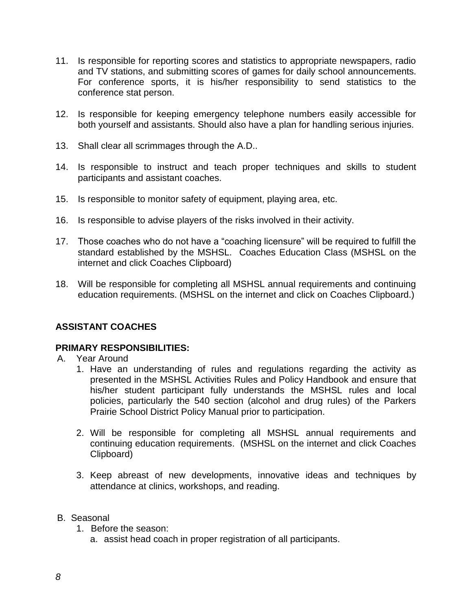- 11. Is responsible for reporting scores and statistics to appropriate newspapers, radio and TV stations, and submitting scores of games for daily school announcements. For conference sports, it is his/her responsibility to send statistics to the conference stat person.
- 12. Is responsible for keeping emergency telephone numbers easily accessible for both yourself and assistants. Should also have a plan for handling serious injuries.
- 13. Shall clear all scrimmages through the A.D..
- 14. Is responsible to instruct and teach proper techniques and skills to student participants and assistant coaches.
- 15. Is responsible to monitor safety of equipment, playing area, etc.
- 16. Is responsible to advise players of the risks involved in their activity.
- 17. Those coaches who do not have a "coaching licensure" will be required to fulfill the standard established by the MSHSL. Coaches Education Class (MSHSL on the internet and click Coaches Clipboard)
- 18. Will be responsible for completing all MSHSL annual requirements and continuing education requirements. (MSHSL on the internet and click on Coaches Clipboard.)

#### **ASSISTANT COACHES**

#### **PRIMARY RESPONSIBILITIES:**

- A. Year Around
	- 1. Have an understanding of rules and regulations regarding the activity as presented in the MSHSL Activities Rules and Policy Handbook and ensure that his/her student participant fully understands the MSHSL rules and local policies, particularly the 540 section (alcohol and drug rules) of the Parkers Prairie School District Policy Manual prior to participation.
	- 2. Will be responsible for completing all MSHSL annual requirements and continuing education requirements. (MSHSL on the internet and click Coaches Clipboard)
	- 3. Keep abreast of new developments, innovative ideas and techniques by attendance at clinics, workshops, and reading.
- B. Seasonal
	- 1. Before the season:
		- a. assist head coach in proper registration of all participants.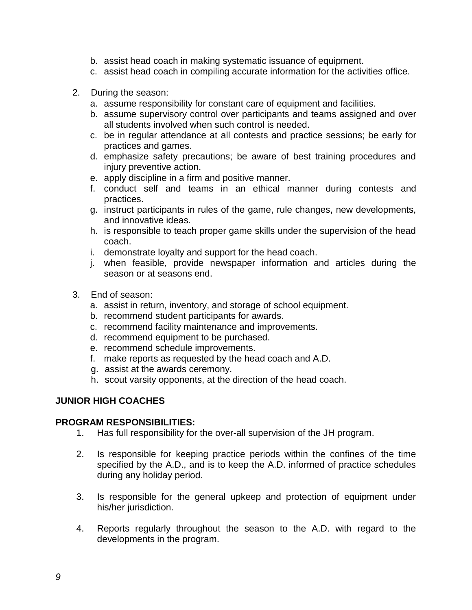- b. assist head coach in making systematic issuance of equipment.
- c. assist head coach in compiling accurate information for the activities office.
- 2. During the season:
	- a. assume responsibility for constant care of equipment and facilities.
	- b. assume supervisory control over participants and teams assigned and over all students involved when such control is needed.
	- c. be in regular attendance at all contests and practice sessions; be early for practices and games.
	- d. emphasize safety precautions; be aware of best training procedures and injury preventive action.
	- e. apply discipline in a firm and positive manner.
	- f. conduct self and teams in an ethical manner during contests and practices.
	- g. instruct participants in rules of the game, rule changes, new developments, and innovative ideas.
	- h. is responsible to teach proper game skills under the supervision of the head coach.
	- i. demonstrate loyalty and support for the head coach.
	- j. when feasible, provide newspaper information and articles during the season or at seasons end.
- 3. End of season:
	- a. assist in return, inventory, and storage of school equipment.
	- b. recommend student participants for awards.
	- c. recommend facility maintenance and improvements.
	- d. recommend equipment to be purchased.
	- e. recommend schedule improvements.
	- f. make reports as requested by the head coach and A.D.
	- g. assist at the awards ceremony.
	- h. scout varsity opponents, at the direction of the head coach.

## **JUNIOR HIGH COACHES**

#### **PROGRAM RESPONSIBILITIES:**

- 1. Has full responsibility for the over-all supervision of the JH program.
- 2. Is responsible for keeping practice periods within the confines of the time specified by the A.D., and is to keep the A.D. informed of practice schedules during any holiday period.
- 3. Is responsible for the general upkeep and protection of equipment under his/her jurisdiction.
- 4. Reports regularly throughout the season to the A.D. with regard to the developments in the program.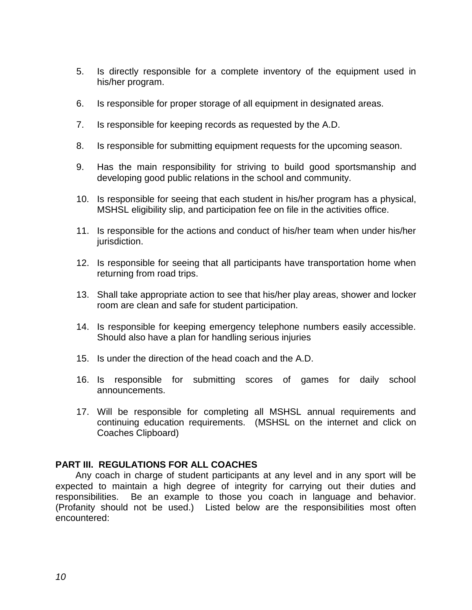- 5. Is directly responsible for a complete inventory of the equipment used in his/her program.
- 6. Is responsible for proper storage of all equipment in designated areas.
- 7. Is responsible for keeping records as requested by the A.D.
- 8. Is responsible for submitting equipment requests for the upcoming season.
- 9. Has the main responsibility for striving to build good sportsmanship and developing good public relations in the school and community.
- 10. Is responsible for seeing that each student in his/her program has a physical, MSHSL eligibility slip, and participation fee on file in the activities office.
- 11. Is responsible for the actions and conduct of his/her team when under his/her jurisdiction.
- 12. Is responsible for seeing that all participants have transportation home when returning from road trips.
- 13. Shall take appropriate action to see that his/her play areas, shower and locker room are clean and safe for student participation.
- 14. Is responsible for keeping emergency telephone numbers easily accessible. Should also have a plan for handling serious injuries
- 15. Is under the direction of the head coach and the A.D.
- 16. Is responsible for submitting scores of games for daily school announcements.
- 17. Will be responsible for completing all MSHSL annual requirements and continuing education requirements. (MSHSL on the internet and click on Coaches Clipboard)

#### **PART III. REGULATIONS FOR ALL COACHES**

Any coach in charge of student participants at any level and in any sport will be expected to maintain a high degree of integrity for carrying out their duties and responsibilities. Be an example to those you coach in language and behavior. (Profanity should not be used.) Listed below are the responsibilities most often encountered: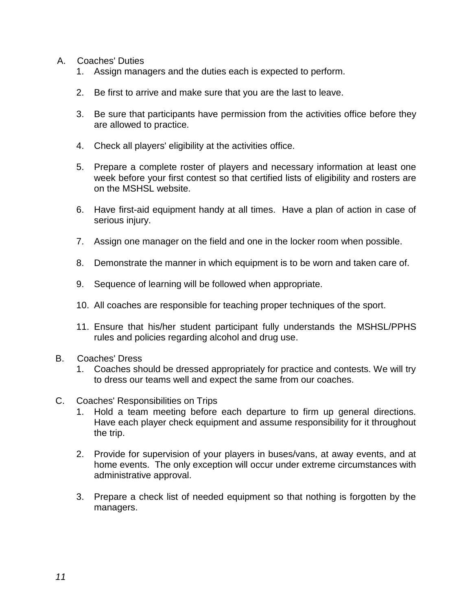- A. Coaches' Duties
	- 1. Assign managers and the duties each is expected to perform.
	- 2. Be first to arrive and make sure that you are the last to leave.
	- 3. Be sure that participants have permission from the activities office before they are allowed to practice.
	- 4. Check all players' eligibility at the activities office.
	- 5. Prepare a complete roster of players and necessary information at least one week before your first contest so that certified lists of eligibility and rosters are on the MSHSL website.
	- 6. Have first-aid equipment handy at all times. Have a plan of action in case of serious injury.
	- 7. Assign one manager on the field and one in the locker room when possible.
	- 8. Demonstrate the manner in which equipment is to be worn and taken care of.
	- 9. Sequence of learning will be followed when appropriate.
	- 10. All coaches are responsible for teaching proper techniques of the sport.
	- 11. Ensure that his/her student participant fully understands the MSHSL/PPHS rules and policies regarding alcohol and drug use.
- B. Coaches' Dress
	- 1. Coaches should be dressed appropriately for practice and contests. We will try to dress our teams well and expect the same from our coaches.
- C. Coaches' Responsibilities on Trips
	- 1. Hold a team meeting before each departure to firm up general directions. Have each player check equipment and assume responsibility for it throughout the trip.
	- 2. Provide for supervision of your players in buses/vans, at away events, and at home events. The only exception will occur under extreme circumstances with administrative approval.
	- 3. Prepare a check list of needed equipment so that nothing is forgotten by the managers.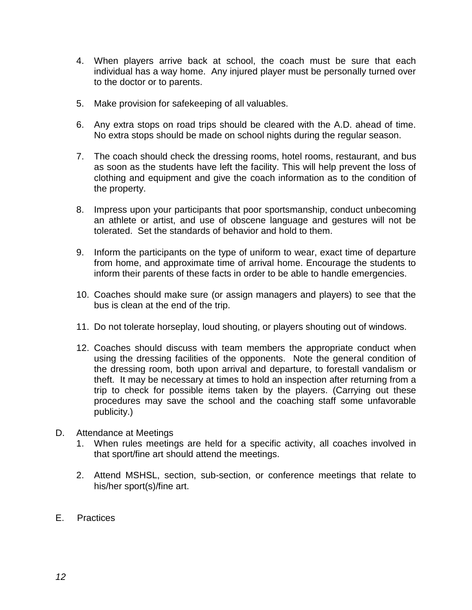- 4. When players arrive back at school, the coach must be sure that each individual has a way home. Any injured player must be personally turned over to the doctor or to parents.
- 5. Make provision for safekeeping of all valuables.
- 6. Any extra stops on road trips should be cleared with the A.D. ahead of time. No extra stops should be made on school nights during the regular season.
- 7. The coach should check the dressing rooms, hotel rooms, restaurant, and bus as soon as the students have left the facility. This will help prevent the loss of clothing and equipment and give the coach information as to the condition of the property.
- 8. Impress upon your participants that poor sportsmanship, conduct unbecoming an athlete or artist, and use of obscene language and gestures will not be tolerated. Set the standards of behavior and hold to them.
- 9. Inform the participants on the type of uniform to wear, exact time of departure from home, and approximate time of arrival home. Encourage the students to inform their parents of these facts in order to be able to handle emergencies.
- 10. Coaches should make sure (or assign managers and players) to see that the bus is clean at the end of the trip.
- 11. Do not tolerate horseplay, loud shouting, or players shouting out of windows.
- 12. Coaches should discuss with team members the appropriate conduct when using the dressing facilities of the opponents. Note the general condition of the dressing room, both upon arrival and departure, to forestall vandalism or theft. It may be necessary at times to hold an inspection after returning from a trip to check for possible items taken by the players. (Carrying out these procedures may save the school and the coaching staff some unfavorable publicity.)
- D. Attendance at Meetings
	- 1. When rules meetings are held for a specific activity, all coaches involved in that sport/fine art should attend the meetings.
	- 2. Attend MSHSL, section, sub-section, or conference meetings that relate to his/her sport(s)/fine art.
- E. Practices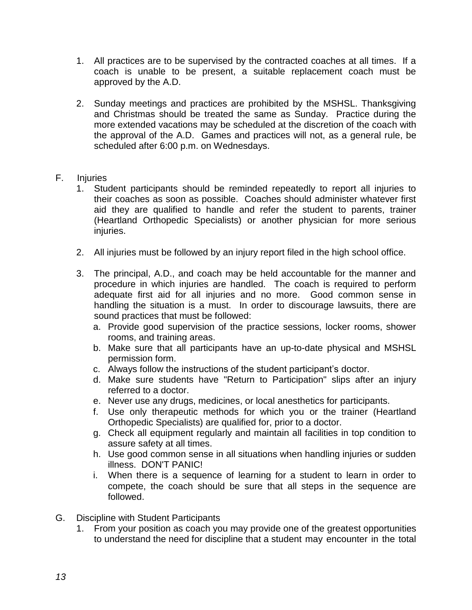- 1. All practices are to be supervised by the contracted coaches at all times. If a coach is unable to be present, a suitable replacement coach must be approved by the A.D.
- 2. Sunday meetings and practices are prohibited by the MSHSL. Thanksgiving and Christmas should be treated the same as Sunday. Practice during the more extended vacations may be scheduled at the discretion of the coach with the approval of the A.D. Games and practices will not, as a general rule, be scheduled after 6:00 p.m. on Wednesdays.

## F. Injuries

- 1. Student participants should be reminded repeatedly to report all injuries to their coaches as soon as possible. Coaches should administer whatever first aid they are qualified to handle and refer the student to parents, trainer (Heartland Orthopedic Specialists) or another physician for more serious injuries.
- 2. All injuries must be followed by an injury report filed in the high school office.
- 3. The principal, A.D., and coach may be held accountable for the manner and procedure in which injuries are handled. The coach is required to perform adequate first aid for all injuries and no more. Good common sense in handling the situation is a must. In order to discourage lawsuits, there are sound practices that must be followed:
	- a. Provide good supervision of the practice sessions, locker rooms, shower rooms, and training areas.
	- b. Make sure that all participants have an up-to-date physical and MSHSL permission form.
	- c. Always follow the instructions of the student participant's doctor.
	- d. Make sure students have "Return to Participation" slips after an injury referred to a doctor.
	- e. Never use any drugs, medicines, or local anesthetics for participants.
	- f. Use only therapeutic methods for which you or the trainer (Heartland Orthopedic Specialists) are qualified for, prior to a doctor.
	- g. Check all equipment regularly and maintain all facilities in top condition to assure safety at all times.
	- h. Use good common sense in all situations when handling injuries or sudden illness. DON'T PANIC!
	- i. When there is a sequence of learning for a student to learn in order to compete, the coach should be sure that all steps in the sequence are followed.
- G. Discipline with Student Participants
	- 1. From your position as coach you may provide one of the greatest opportunities to understand the need for discipline that a student may encounter in the total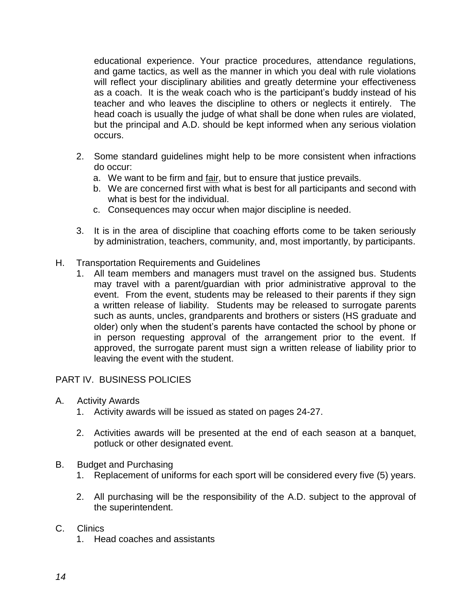educational experience. Your practice procedures, attendance regulations, and game tactics, as well as the manner in which you deal with rule violations will reflect your disciplinary abilities and greatly determine your effectiveness as a coach. It is the weak coach who is the participant's buddy instead of his teacher and who leaves the discipline to others or neglects it entirely. The head coach is usually the judge of what shall be done when rules are violated, but the principal and A.D. should be kept informed when any serious violation occurs.

- 2. Some standard guidelines might help to be more consistent when infractions do occur:
	- a. We want to be firm and fair, but to ensure that justice prevails.
	- b. We are concerned first with what is best for all participants and second with what is best for the individual.
	- c. Consequences may occur when major discipline is needed.
- 3. It is in the area of discipline that coaching efforts come to be taken seriously by administration, teachers, community, and, most importantly, by participants.
- H. Transportation Requirements and Guidelines
	- 1. All team members and managers must travel on the assigned bus. Students may travel with a parent/guardian with prior administrative approval to the event. From the event, students may be released to their parents if they sign a written release of liability. Students may be released to surrogate parents such as aunts, uncles, grandparents and brothers or sisters (HS graduate and older) only when the student's parents have contacted the school by phone or in person requesting approval of the arrangement prior to the event. If approved, the surrogate parent must sign a written release of liability prior to leaving the event with the student.

## PART IV. BUSINESS POLICIES

- A. Activity Awards
	- 1. Activity awards will be issued as stated on pages 24-27.
	- 2. Activities awards will be presented at the end of each season at a banquet, potluck or other designated event.
- B. Budget and Purchasing
	- 1. Replacement of uniforms for each sport will be considered every five (5) years.
	- 2. All purchasing will be the responsibility of the A.D. subject to the approval of the superintendent.
- C. Clinics
	- 1. Head coaches and assistants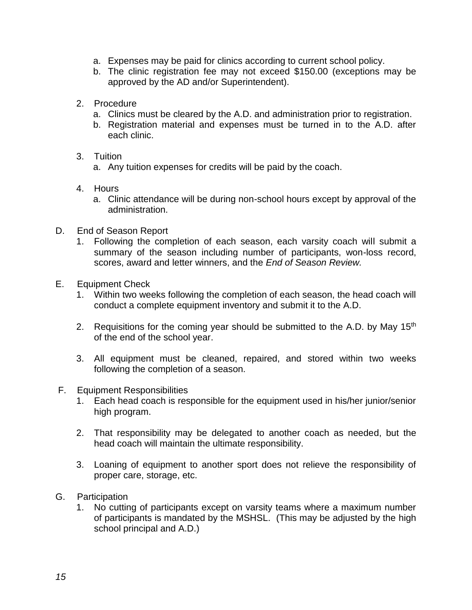- a. Expenses may be paid for clinics according to current school policy.
- b. The clinic registration fee may not exceed \$150.00 (exceptions may be approved by the AD and/or Superintendent).
- 2. Procedure
	- a. Clinics must be cleared by the A.D. and administration prior to registration.
	- b. Registration material and expenses must be turned in to the A.D. after each clinic.
- 3. Tuition
	- a. Any tuition expenses for credits will be paid by the coach.
- 4. Hours
	- a. Clinic attendance will be during non-school hours except by approval of the administration.
- D. End of Season Report
	- 1. Following the completion of each season, each varsity coach will submit a summary of the season including number of participants, won-loss record, scores, award and letter winners, and the *End of Season Review.*
- E. Equipment Check
	- 1. Within two weeks following the completion of each season, the head coach will conduct a complete equipment inventory and submit it to the A.D.
	- 2. Requisitions for the coming year should be submitted to the A.D. by May  $15<sup>th</sup>$ of the end of the school year.
	- 3. All equipment must be cleaned, repaired, and stored within two weeks following the completion of a season.
- F. Equipment Responsibilities
	- 1. Each head coach is responsible for the equipment used in his/her junior/senior high program.
	- 2. That responsibility may be delegated to another coach as needed, but the head coach will maintain the ultimate responsibility.
	- 3. Loaning of equipment to another sport does not relieve the responsibility of proper care, storage, etc.
- G. Participation
	- 1. No cutting of participants except on varsity teams where a maximum number of participants is mandated by the MSHSL. (This may be adjusted by the high school principal and A.D.)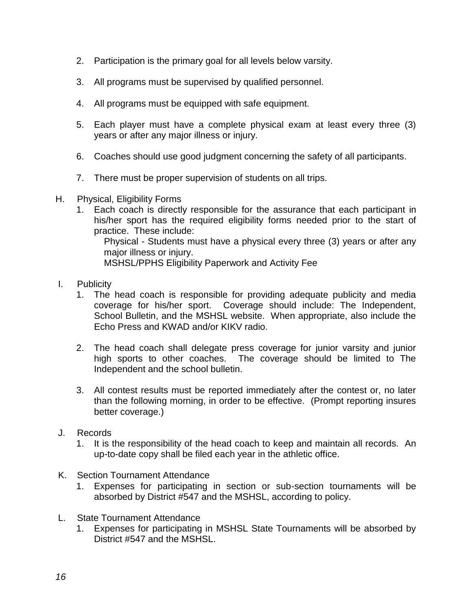- 2. Participation is the primary goal for all levels below varsity.
- 3. All programs must be supervised by qualified personnel.
- 4. All programs must be equipped with safe equipment.
- 5. Each player must have a complete physical exam at least every three (3) years or after any major illness or injury.
- 6. Coaches should use good judgment concerning the safety of all participants.
- 7. There must be proper supervision of students on all trips.
- H. Physical, Eligibility Forms
	- 1. Each coach is directly responsible for the assurance that each participant in his/her sport has the required eligibility forms needed prior to the start of practice. These include: Physical - Students must have a physical every three (3) years or after any major illness or injury.

MSHSL/PPHS Eligibility Paperwork and Activity Fee

- I. Publicity
	- 1. The head coach is responsible for providing adequate publicity and media coverage for his/her sport. Coverage should include: The Independent, School Bulletin, and the MSHSL website. When appropriate, also include the Echo Press and KWAD and/or KIKV radio.
	- 2. The head coach shall delegate press coverage for junior varsity and junior high sports to other coaches. The coverage should be limited to The Independent and the school bulletin.
	- 3. All contest results must be reported immediately after the contest or, no later than the following morning, in order to be effective. (Prompt reporting insures better coverage.)
- J. Records
	- 1. It is the responsibility of the head coach to keep and maintain all records. An up-to-date copy shall be filed each year in the athletic office.
- K. Section Tournament Attendance
	- 1. Expenses for participating in section or sub-section tournaments will be absorbed by District #547 and the MSHSL, according to policy.
- L. State Tournament Attendance
	- 1. Expenses for participating in MSHSL State Tournaments will be absorbed by District #547 and the MSHSL.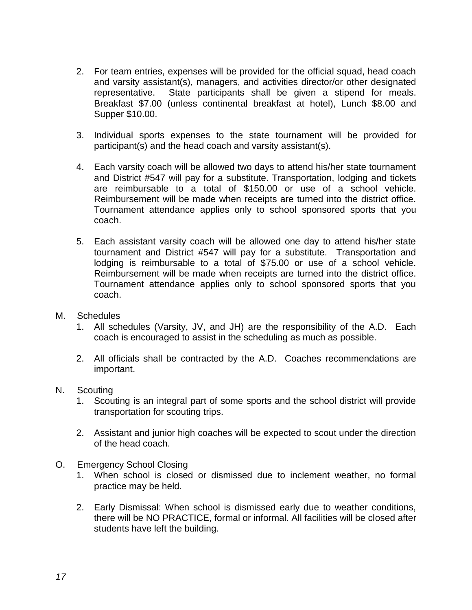- 2. For team entries, expenses will be provided for the official squad, head coach and varsity assistant(s), managers, and activities director/or other designated representative. State participants shall be given a stipend for meals. Breakfast \$7.00 (unless continental breakfast at hotel), Lunch \$8.00 and Supper \$10.00.
- 3. Individual sports expenses to the state tournament will be provided for participant(s) and the head coach and varsity assistant(s).
- 4. Each varsity coach will be allowed two days to attend his/her state tournament and District #547 will pay for a substitute. Transportation, lodging and tickets are reimbursable to a total of \$150.00 or use of a school vehicle. Reimbursement will be made when receipts are turned into the district office. Tournament attendance applies only to school sponsored sports that you coach.
- 5. Each assistant varsity coach will be allowed one day to attend his/her state tournament and District #547 will pay for a substitute. Transportation and lodging is reimbursable to a total of \$75.00 or use of a school vehicle. Reimbursement will be made when receipts are turned into the district office. Tournament attendance applies only to school sponsored sports that you coach.
- M. Schedules
	- 1. All schedules (Varsity, JV, and JH) are the responsibility of the A.D. Each coach is encouraged to assist in the scheduling as much as possible.
	- 2. All officials shall be contracted by the A.D. Coaches recommendations are important.
- N. Scouting
	- 1. Scouting is an integral part of some sports and the school district will provide transportation for scouting trips.
	- 2. Assistant and junior high coaches will be expected to scout under the direction of the head coach.
- O. Emergency School Closing
	- 1. When school is closed or dismissed due to inclement weather, no formal practice may be held.
	- 2. Early Dismissal: When school is dismissed early due to weather conditions, there will be NO PRACTICE, formal or informal. All facilities will be closed after students have left the building.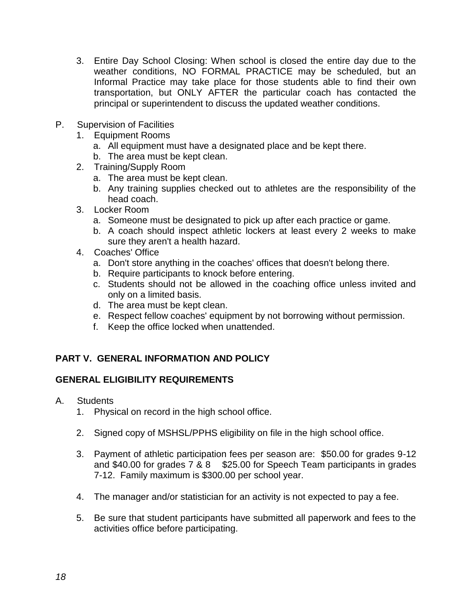- 3. Entire Day School Closing: When school is closed the entire day due to the weather conditions, NO FORMAL PRACTICE may be scheduled, but an Informal Practice may take place for those students able to find their own transportation, but ONLY AFTER the particular coach has contacted the principal or superintendent to discuss the updated weather conditions.
- P. Supervision of Facilities
	- 1. Equipment Rooms
		- a. All equipment must have a designated place and be kept there.
		- b. The area must be kept clean.
	- 2. Training/Supply Room
		- a. The area must be kept clean.
		- b. Any training supplies checked out to athletes are the responsibility of the head coach.
	- 3. Locker Room
		- a. Someone must be designated to pick up after each practice or game.
		- b. A coach should inspect athletic lockers at least every 2 weeks to make sure they aren't a health hazard.
	- 4. Coaches' Office
		- a. Don't store anything in the coaches' offices that doesn't belong there.
		- b. Require participants to knock before entering.
		- c. Students should not be allowed in the coaching office unless invited and only on a limited basis.
		- d. The area must be kept clean.
		- e. Respect fellow coaches' equipment by not borrowing without permission.
		- f. Keep the office locked when unattended.

## **PART V. GENERAL INFORMATION AND POLICY**

## **GENERAL ELIGIBILITY REQUIREMENTS**

- A. Students
	- 1. Physical on record in the high school office.
	- 2. Signed copy of MSHSL/PPHS eligibility on file in the high school office.
	- 3. Payment of athletic participation fees per season are: \$50.00 for grades 9-12 and \$40.00 for grades 7 & 8 \$25.00 for Speech Team participants in grades 7-12. Family maximum is \$300.00 per school year.
	- 4. The manager and/or statistician for an activity is not expected to pay a fee.
	- 5. Be sure that student participants have submitted all paperwork and fees to the activities office before participating.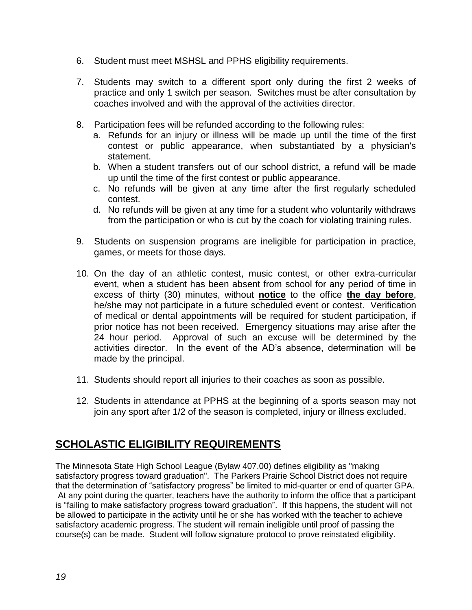- 6. Student must meet MSHSL and PPHS eligibility requirements.
- 7. Students may switch to a different sport only during the first 2 weeks of practice and only 1 switch per season. Switches must be after consultation by coaches involved and with the approval of the activities director.
- 8. Participation fees will be refunded according to the following rules:
	- a. Refunds for an injury or illness will be made up until the time of the first contest or public appearance, when substantiated by a physician's statement.
	- b. When a student transfers out of our school district, a refund will be made up until the time of the first contest or public appearance.
	- c. No refunds will be given at any time after the first regularly scheduled contest.
	- d. No refunds will be given at any time for a student who voluntarily withdraws from the participation or who is cut by the coach for violating training rules.
- 9. Students on suspension programs are ineligible for participation in practice, games, or meets for those days.
- 10. On the day of an athletic contest, music contest, or other extra-curricular event, when a student has been absent from school for any period of time in excess of thirty (30) minutes, without **notice** to the office **the day before**, he/she may not participate in a future scheduled event or contest. Verification of medical or dental appointments will be required for student participation, if prior notice has not been received. Emergency situations may arise after the 24 hour period. Approval of such an excuse will be determined by the activities director. In the event of the AD's absence, determination will be made by the principal.
- 11. Students should report all injuries to their coaches as soon as possible.
- 12. Students in attendance at PPHS at the beginning of a sports season may not join any sport after 1/2 of the season is completed, injury or illness excluded.

## **SCHOLASTIC ELIGIBILITY REQUIREMENTS**

The Minnesota State High School League (Bylaw 407.00) defines eligibility as "making satisfactory progress toward graduation". The Parkers Prairie School District does not require that the determination of "satisfactory progress" be limited to mid-quarter or end of quarter GPA. At any point during the quarter, teachers have the authority to inform the office that a participant is "failing to make satisfactory progress toward graduation". If this happens, the student will not be allowed to participate in the activity until he or she has worked with the teacher to achieve satisfactory academic progress. The student will remain ineligible until proof of passing the course(s) can be made. Student will follow signature protocol to prove reinstated eligibility.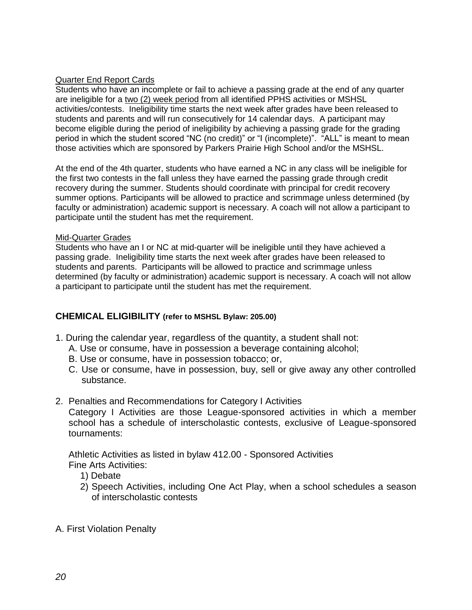#### Quarter End Report Cards

Students who have an incomplete or fail to achieve a passing grade at the end of any quarter are ineligible for a two (2) week period from all identified PPHS activities or MSHSL activities/contests. Ineligibility time starts the next week after grades have been released to students and parents and will run consecutively for 14 calendar days. A participant may become eligible during the period of ineligibility by achieving a passing grade for the grading period in which the student scored "NC (no credit)" or "I (incomplete)". "ALL" is meant to mean those activities which are sponsored by Parkers Prairie High School and/or the MSHSL.

At the end of the 4th quarter, students who have earned a NC in any class will be ineligible for the first two contests in the fall unless they have earned the passing grade through credit recovery during the summer. Students should coordinate with principal for credit recovery summer options. Participants will be allowed to practice and scrimmage unless determined (by faculty or administration) academic support is necessary. A coach will not allow a participant to participate until the student has met the requirement.

#### Mid-Quarter Grades

Students who have an I or NC at mid-quarter will be ineligible until they have achieved a passing grade. Ineligibility time starts the next week after grades have been released to students and parents. Participants will be allowed to practice and scrimmage unless determined (by faculty or administration) academic support is necessary. A coach will not allow a participant to participate until the student has met the requirement.

#### **CHEMICAL ELIGIBILITY (refer to MSHSL Bylaw: 205.00)**

- 1. During the calendar year, regardless of the quantity, a student shall not:
	- A. Use or consume, have in possession a beverage containing alcohol;
	- B. Use or consume, have in possession tobacco; or,
	- C. Use or consume, have in possession, buy, sell or give away any other controlled substance.
- 2. Penalties and Recommendations for Category I Activities

Category I Activities are those League-sponsored activities in which a member school has a schedule of interscholastic contests, exclusive of League-sponsored tournaments:

Athletic Activities as listed in bylaw 412.00 - Sponsored Activities Fine Arts Activities:

- 1) Debate
- 2) Speech Activities, including One Act Play, when a school schedules a season of interscholastic contests
- A. First Violation Penalty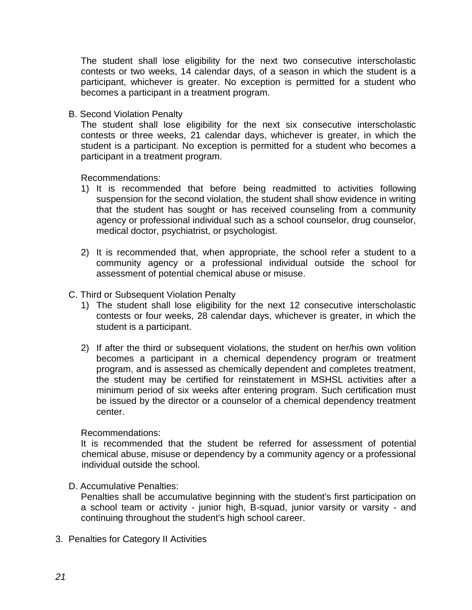The student shall lose eligibility for the next two consecutive interscholastic contests or two weeks, 14 calendar days, of a season in which the student is a participant, whichever is greater. No exception is permitted for a student who becomes a participant in a treatment program.

B. Second Violation Penalty

The student shall lose eligibility for the next six consecutive interscholastic contests or three weeks, 21 calendar days, whichever is greater, in which the student is a participant. No exception is permitted for a student who becomes a participant in a treatment program.

Recommendations:

- 1) It is recommended that before being readmitted to activities following suspension for the second violation, the student shall show evidence in writing that the student has sought or has received counseling from a community agency or professional individual such as a school counselor, drug counselor, medical doctor, psychiatrist, or psychologist.
- 2) It is recommended that, when appropriate, the school refer a student to a community agency or a professional individual outside the school for assessment of potential chemical abuse or misuse.

#### C. Third or Subsequent Violation Penalty

- 1) The student shall lose eligibility for the next 12 consecutive interscholastic contests or four weeks, 28 calendar days, whichever is greater, in which the student is a participant.
- 2) If after the third or subsequent violations, the student on her/his own volition becomes a participant in a chemical dependency program or treatment program, and is assessed as chemically dependent and completes treatment, the student may be certified for reinstatement in MSHSL activities after a minimum period of six weeks after entering program. Such certification must be issued by the director or a counselor of a chemical dependency treatment center.

#### Recommendations:

It is recommended that the student be referred for assessment of potential chemical abuse, misuse or dependency by a community agency or a professional individual outside the school.

D. Accumulative Penalties:

Penalties shall be accumulative beginning with the student's first participation on a school team or activity - junior high, B-squad, junior varsity or varsity - and continuing throughout the student's high school career.

3. Penalties for Category II Activities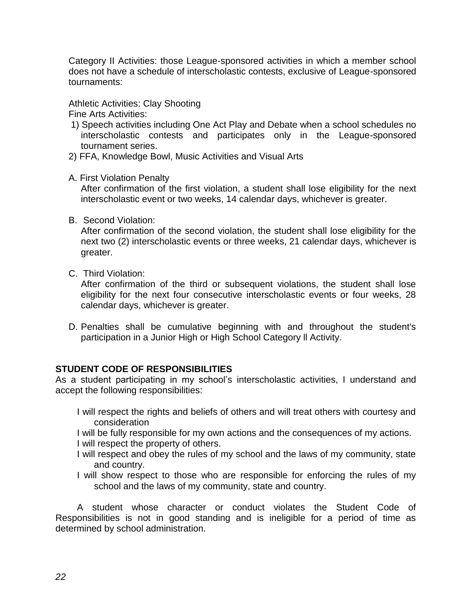Category II Activities: those League-sponsored activities in which a member school does not have a schedule of interscholastic contests, exclusive of League-sponsored tournaments:

Athletic Activities: Clay Shooting Fine Arts Activities:

- 1) Speech activities including One Act Play and Debate when a school schedules no interscholastic contests and participates only in the League-sponsored tournament series.
- 2) FFA, Knowledge Bowl, Music Activities and Visual Arts
- A. First Violation Penalty

After confirmation of the first violation, a student shall lose eligibility for the next interscholastic event or two weeks, 14 calendar days, whichever is greater.

B. Second Violation:

After confirmation of the second violation, the student shall lose eligibility for the next two (2) interscholastic events or three weeks, 21 calendar days, whichever is greater.

C. Third Violation:

After confirmation of the third or subsequent violations, the student shall lose eligibility for the next four consecutive interscholastic events or four weeks, 28 calendar days, whichever is greater.

D. Penalties shall be cumulative beginning with and throughout the student's participation in a Junior High or High School Category ll Activity.

#### **STUDENT CODE OF RESPONSIBILITIES**

As a student participating in my school's interscholastic activities, I understand and accept the following responsibilities:

- I will respect the rights and beliefs of others and will treat others with courtesy and consideration
- I will be fully responsible for my own actions and the consequences of my actions.
- I will respect the property of others.
- I will respect and obey the rules of my school and the laws of my community, state and country.
- I will show respect to those who are responsible for enforcing the rules of my school and the laws of my community, state and country.

A student whose character or conduct violates the Student Code of Responsibilities is not in good standing and is ineligible for a period of time as determined by school administration.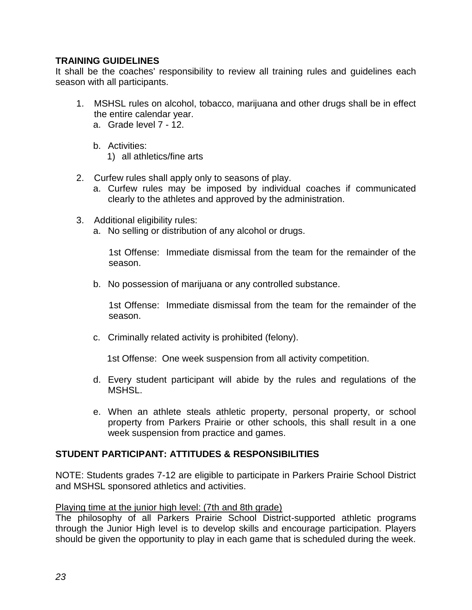## **TRAINING GUIDELINES**

It shall be the coaches' responsibility to review all training rules and guidelines each season with all participants.

- 1. MSHSL rules on alcohol, tobacco, marijuana and other drugs shall be in effect the entire calendar year.
	- a. Grade level 7 12.
	- b. Activities:
		- 1) all athletics/fine arts
- 2. Curfew rules shall apply only to seasons of play.
	- a. Curfew rules may be imposed by individual coaches if communicated clearly to the athletes and approved by the administration.
- 3. Additional eligibility rules:
	- a. No selling or distribution of any alcohol or drugs.

1st Offense: Immediate dismissal from the team for the remainder of the season.

b. No possession of marijuana or any controlled substance.

1st Offense: Immediate dismissal from the team for the remainder of the season.

c. Criminally related activity is prohibited (felony).

1st Offense: One week suspension from all activity competition.

- d. Every student participant will abide by the rules and regulations of the **MSHSL.**
- e. When an athlete steals athletic property, personal property, or school property from Parkers Prairie or other schools, this shall result in a one week suspension from practice and games.

## **STUDENT PARTICIPANT: ATTITUDES & RESPONSIBILITIES**

NOTE: Students grades 7-12 are eligible to participate in Parkers Prairie School District and MSHSL sponsored athletics and activities.

#### Playing time at the junior high level: (7th and 8th grade)

The philosophy of all Parkers Prairie School District-supported athletic programs through the Junior High level is to develop skills and encourage participation. Players should be given the opportunity to play in each game that is scheduled during the week.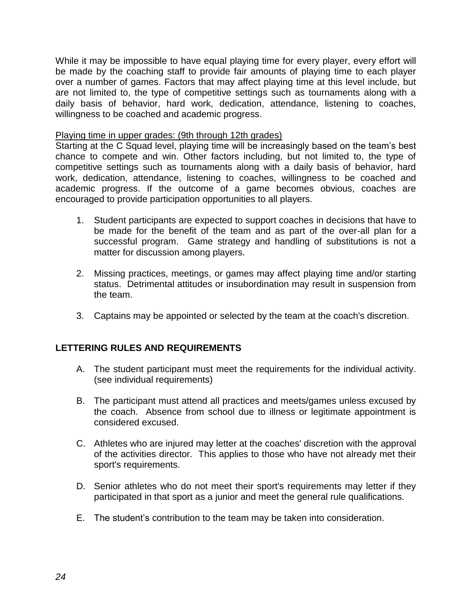While it may be impossible to have equal playing time for every player, every effort will be made by the coaching staff to provide fair amounts of playing time to each player over a number of games. Factors that may affect playing time at this level include, but are not limited to, the type of competitive settings such as tournaments along with a daily basis of behavior, hard work, dedication, attendance, listening to coaches, willingness to be coached and academic progress.

#### Playing time in upper grades: (9th through 12th grades)

Starting at the C Squad level, playing time will be increasingly based on the team's best chance to compete and win. Other factors including, but not limited to, the type of competitive settings such as tournaments along with a daily basis of behavior, hard work, dedication, attendance, listening to coaches, willingness to be coached and academic progress. If the outcome of a game becomes obvious, coaches are encouraged to provide participation opportunities to all players.

- 1. Student participants are expected to support coaches in decisions that have to be made for the benefit of the team and as part of the over-all plan for a successful program. Game strategy and handling of substitutions is not a matter for discussion among players.
- 2. Missing practices, meetings, or games may affect playing time and/or starting status. Detrimental attitudes or insubordination may result in suspension from the team.
- 3. Captains may be appointed or selected by the team at the coach's discretion.

#### **LETTERING RULES AND REQUIREMENTS**

- A. The student participant must meet the requirements for the individual activity. (see individual requirements)
- B. The participant must attend all practices and meets/games unless excused by the coach. Absence from school due to illness or legitimate appointment is considered excused.
- C. Athletes who are injured may letter at the coaches' discretion with the approval of the activities director. This applies to those who have not already met their sport's requirements.
- D. Senior athletes who do not meet their sport's requirements may letter if they participated in that sport as a junior and meet the general rule qualifications.
- E. The student's contribution to the team may be taken into consideration.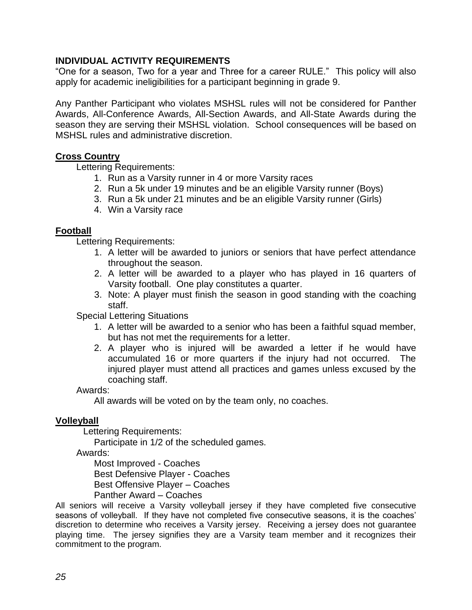## **INDIVIDUAL ACTIVITY REQUIREMENTS**

"One for a season, Two for a year and Three for a career RULE." This policy will also apply for academic ineligibilities for a participant beginning in grade 9.

Any Panther Participant who violates MSHSL rules will not be considered for Panther Awards, All-Conference Awards, All-Section Awards, and All-State Awards during the season they are serving their MSHSL violation. School consequences will be based on MSHSL rules and administrative discretion.

#### **Cross Country**

Lettering Requirements:

- 1. Run as a Varsity runner in 4 or more Varsity races
- 2. Run a 5k under 19 minutes and be an eligible Varsity runner (Boys)
- 3. Run a 5k under 21 minutes and be an eligible Varsity runner (Girls)
- 4. Win a Varsity race

#### **Football**

Lettering Requirements:

- 1. A letter will be awarded to juniors or seniors that have perfect attendance throughout the season.
- 2. A letter will be awarded to a player who has played in 16 quarters of Varsity football. One play constitutes a quarter.
- 3. Note: A player must finish the season in good standing with the coaching staff.

Special Lettering Situations

- 1. A letter will be awarded to a senior who has been a faithful squad member, but has not met the requirements for a letter.
- 2. A player who is injured will be awarded a letter if he would have accumulated 16 or more quarters if the injury had not occurred. The injured player must attend all practices and games unless excused by the coaching staff.

#### Awards:

All awards will be voted on by the team only, no coaches.

#### **Volleyball**

Lettering Requirements:

Participate in 1/2 of the scheduled games.

Awards:

Most Improved - Coaches

Best Defensive Player - Coaches

Best Offensive Player – Coaches

Panther Award – Coaches

All seniors will receive a Varsity volleyball jersey if they have completed five consecutive seasons of volleyball. If they have not completed five consecutive seasons, it is the coaches' discretion to determine who receives a Varsity jersey. Receiving a jersey does not guarantee playing time. The jersey signifies they are a Varsity team member and it recognizes their commitment to the program.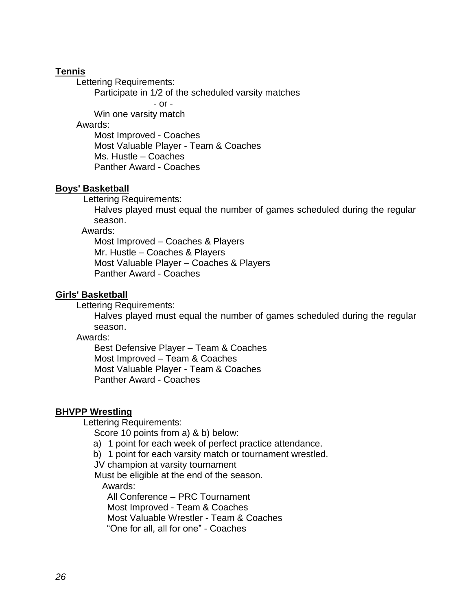#### **Tennis**

Lettering Requirements:

Participate in 1/2 of the scheduled varsity matches

- or -

Win one varsity match

Awards:

Most Improved - Coaches Most Valuable Player - Team & Coaches Ms. Hustle – Coaches Panther Award - Coaches

#### **Boys' Basketball**

Lettering Requirements:

 Halves played must equal the number of games scheduled during the regular season.

Awards:

 Most Improved – Coaches & Players Mr. Hustle – Coaches & Players Most Valuable Player – Coaches & Players Panther Award - Coaches

#### **Girls' Basketball**

Lettering Requirements:

 Halves played must equal the number of games scheduled during the regular season.

Awards:

 Best Defensive Player – Team & Coaches Most Improved – Team & Coaches Most Valuable Player - Team & Coaches Panther Award - Coaches

#### **BHVPP Wrestling**

Lettering Requirements:

Score 10 points from a) & b) below:

- a) 1 point for each week of perfect practice attendance.
- b) 1 point for each varsity match or tournament wrestled.
- JV champion at varsity tournament

Must be eligible at the end of the season.

Awards:

 All Conference – PRC Tournament Most Improved - Team & Coaches Most Valuable Wrestler - Team & Coaches "One for all, all for one" - Coaches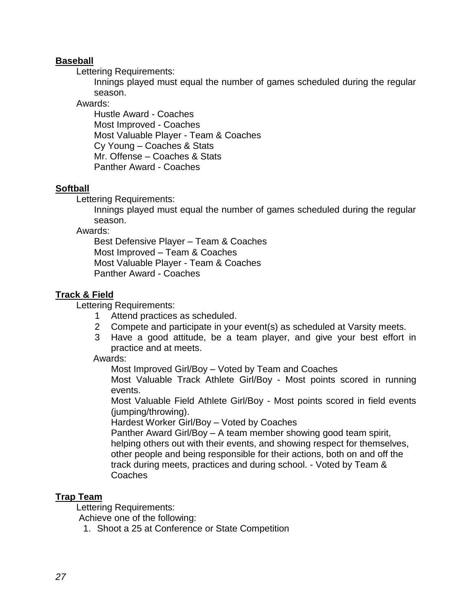## **Baseball**

Lettering Requirements:

Innings played must equal the number of games scheduled during the regular season.

#### Awards:

 Hustle Award - Coaches Most Improved - Coaches Most Valuable Player - Team & Coaches Cy Young – Coaches & Stats Mr. Offense – Coaches & Stats Panther Award - Coaches

#### **Softball**

Lettering Requirements:

Innings played must equal the number of games scheduled during the regular season.

Awards:

 Best Defensive Player – Team & Coaches Most Improved – Team & Coaches Most Valuable Player - Team & Coaches Panther Award - Coaches

#### **Track & Field**

Lettering Requirements:

- 1 Attend practices as scheduled.
- 2 Compete and participate in your event(s) as scheduled at Varsity meets.
- 3 Have a good attitude, be a team player, and give your best effort in practice and at meets.

Awards:

Most Improved Girl/Boy – Voted by Team and Coaches

Most Valuable Track Athlete Girl/Boy - Most points scored in running events.

Most Valuable Field Athlete Girl/Boy - Most points scored in field events (jumping/throwing).

Hardest Worker Girl/Boy – Voted by Coaches

Panther Award Girl/Boy – A team member showing good team spirit, helping others out with their events, and showing respect for themselves, other people and being responsible for their actions, both on and off the track during meets, practices and during school. - Voted by Team & Coaches

#### **Trap Team**

Lettering Requirements:

Achieve one of the following:

1. Shoot a 25 at Conference or State Competition